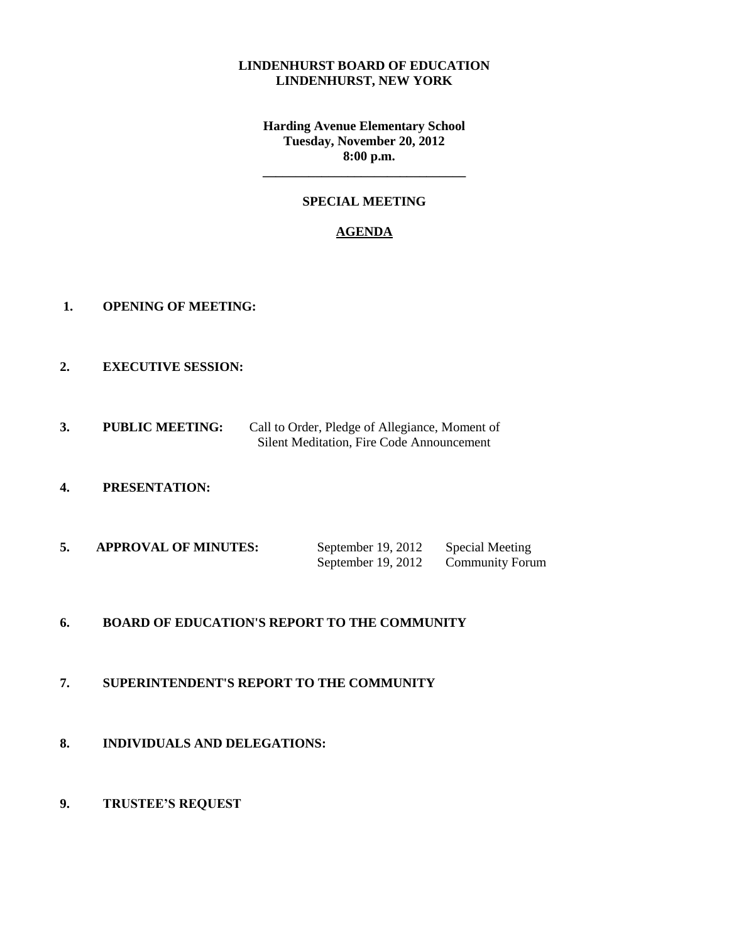#### **LINDENHURST BOARD OF EDUCATION LINDENHURST, NEW YORK**

**Harding Avenue Elementary School Tuesday, November 20, 2012 8:00 p.m.**

### **SPECIAL MEETING**

**\_\_\_\_\_\_\_\_\_\_\_\_\_\_\_\_\_\_\_\_\_\_\_\_\_\_\_\_\_\_\_**

#### **AGENDA**

- **1. OPENING OF MEETING:**
- **2. EXECUTIVE SESSION:**
- **3. PUBLIC MEETING:** Call to Order, Pledge of Allegiance, Moment of Silent Meditation, Fire Code Announcement
- **4. PRESENTATION:**
- **5. APPROVAL OF MINUTES:** September 19, 2012 Special Meeting September 19, 2012 Community Forum

## **6. BOARD OF EDUCATION'S REPORT TO THE COMMUNITY**

- **7. SUPERINTENDENT'S REPORT TO THE COMMUNITY**
- **8. INDIVIDUALS AND DELEGATIONS:**
- **9. TRUSTEE'S REQUEST**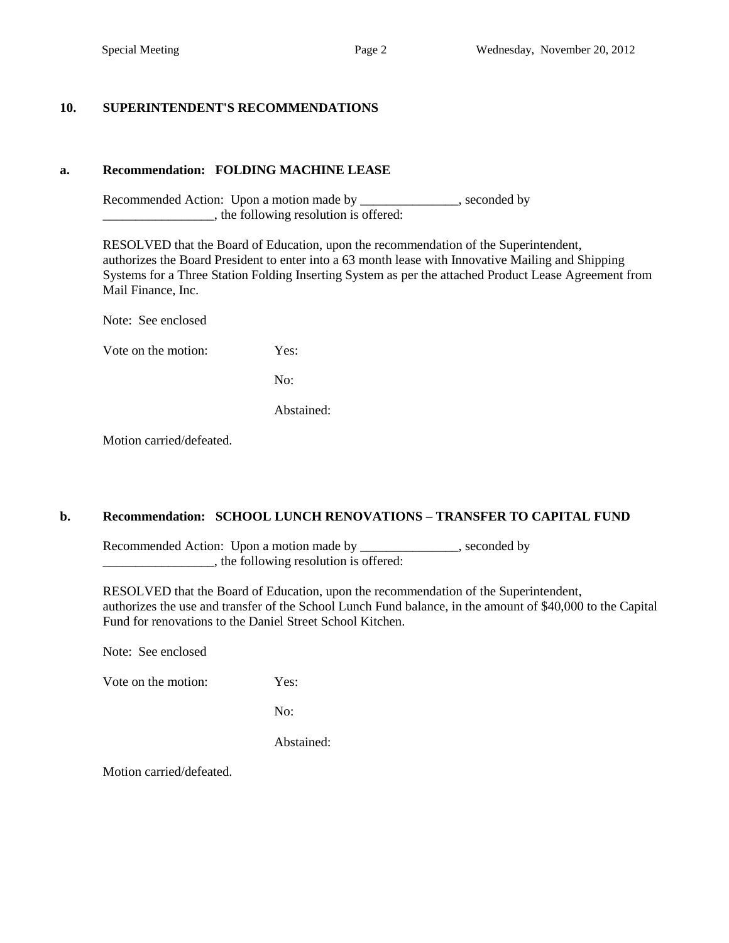## **10. SUPERINTENDENT'S RECOMMENDATIONS**

### **a. Recommendation: FOLDING MACHINE LEASE**

Recommended Action: Upon a motion made by \_\_\_\_\_\_\_\_\_\_\_\_\_, seconded by  $\blacksquare$ , the following resolution is offered:

 RESOLVED that the Board of Education, upon the recommendation of the Superintendent, authorizes the Board President to enter into a 63 month lease with Innovative Mailing and Shipping Systems for a Three Station Folding Inserting System as per the attached Product Lease Agreement from Mail Finance, Inc.

Note: See enclosed

Vote on the motion: Yes:

No:

Abstained:

Motion carried/defeated.

#### **b. Recommendation: SCHOOL LUNCH RENOVATIONS – TRANSFER TO CAPITAL FUND**

Recommended Action: Upon a motion made by \_\_\_\_\_\_\_\_\_\_\_\_\_, seconded by \_\_\_\_\_\_\_\_\_\_\_\_\_\_\_\_\_, the following resolution is offered:

 RESOLVED that the Board of Education, upon the recommendation of the Superintendent, authorizes the use and transfer of the School Lunch Fund balance, in the amount of \$40,000 to the Capital Fund for renovations to the Daniel Street School Kitchen.

Note: See enclosed

Vote on the motion: Yes:

No:

Abstained:

Motion carried/defeated.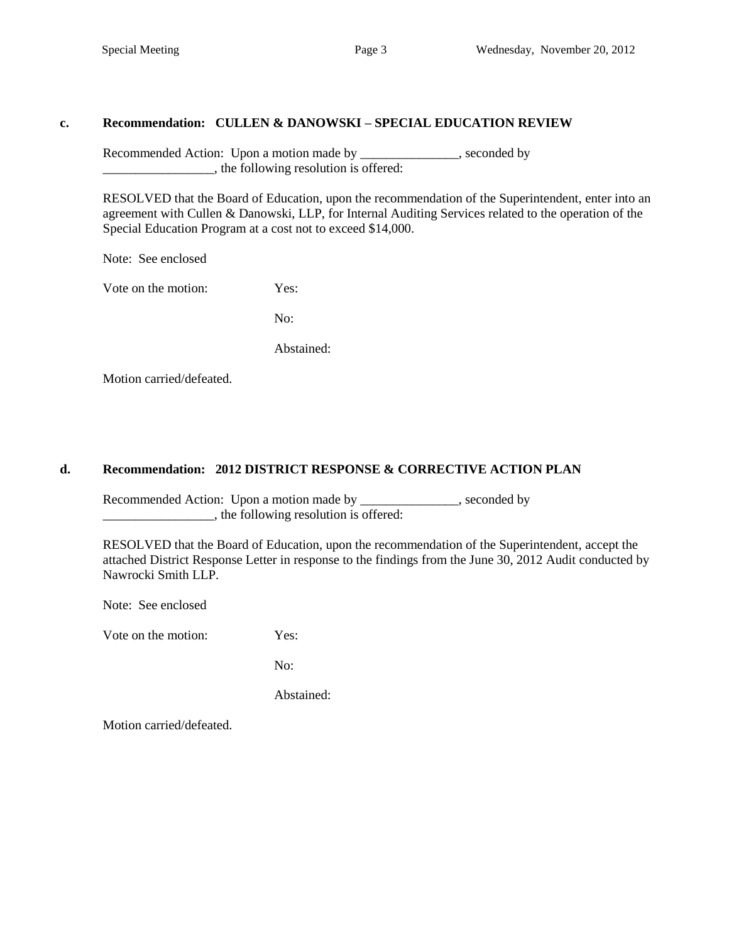### **c. Recommendation: CULLEN & DANOWSKI – SPECIAL EDUCATION REVIEW**

Recommended Action: Upon a motion made by \_\_\_\_\_\_\_\_\_\_\_\_\_, seconded by \_\_\_\_\_\_\_\_\_\_\_\_\_\_\_\_\_, the following resolution is offered:

 RESOLVED that the Board of Education, upon the recommendation of the Superintendent, enter into an agreement with Cullen & Danowski, LLP, for Internal Auditing Services related to the operation of the Special Education Program at a cost not to exceed \$14,000.

Note: See enclosed

Vote on the motion: Yes:

No:

Abstained:

Motion carried/defeated.

## **d. Recommendation: 2012 DISTRICT RESPONSE & CORRECTIVE ACTION PLAN**

Recommended Action: Upon a motion made by \_\_\_\_\_\_\_\_\_\_\_\_\_, seconded by \_\_\_\_\_\_\_\_\_\_\_\_\_\_\_\_\_, the following resolution is offered:

RESOLVED that the Board of Education, upon the recommendation of the Superintendent, accept the attached District Response Letter in response to the findings from the June 30, 2012 Audit conducted by Nawrocki Smith LLP.

Note: See enclosed

Vote on the motion: Yes:

No:

Abstained:

Motion carried/defeated.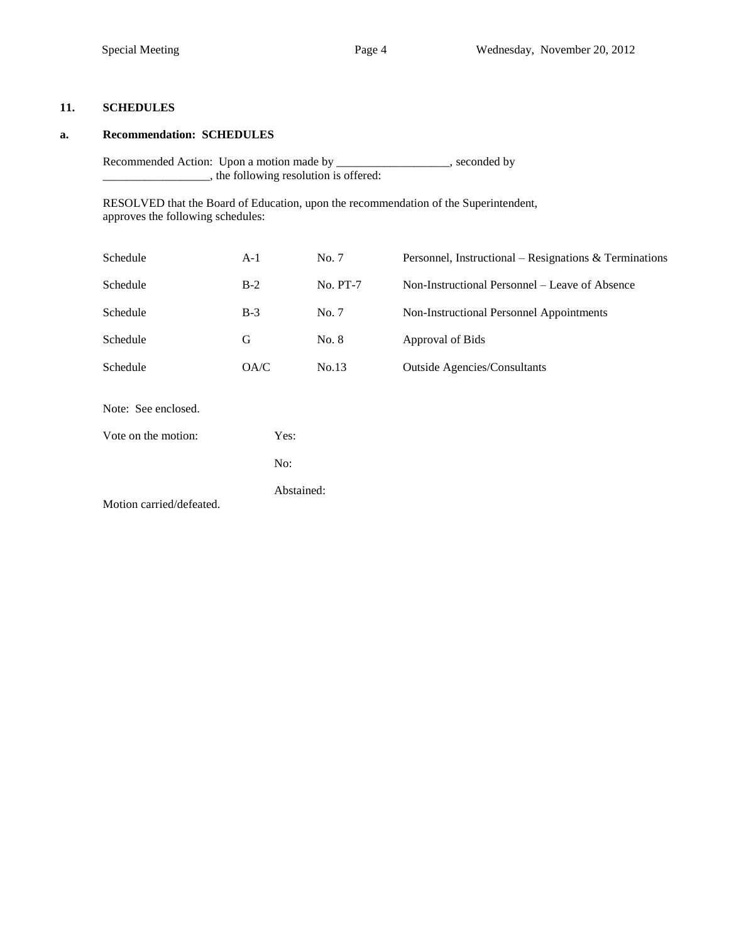#### **11. SCHEDULES**

#### **a. Recommendation: SCHEDULES**

Recommended Action: Upon a motion made by \_\_\_\_\_\_\_\_\_\_\_\_\_\_\_\_\_\_, seconded by \_\_\_\_\_\_\_\_\_\_\_\_\_\_\_\_\_\_, the following resolution is offered:

RESOLVED that the Board of Education, upon the recommendation of the Superintendent, approves the following schedules:

| Schedule                 | $A-1$      | No. 7    | Personnel, Instructional – Resignations & Terminations |  |  |
|--------------------------|------------|----------|--------------------------------------------------------|--|--|
| Schedule                 | $B-2$      | No. PT-7 | Non-Instructional Personnel – Leave of Absence         |  |  |
| Schedule                 | $B-3$      | No. 7    | Non-Instructional Personnel Appointments               |  |  |
| Schedule                 | G          | No. 8    | Approval of Bids                                       |  |  |
| Schedule                 | OA/C       | No.13    | <b>Outside Agencies/Consultants</b>                    |  |  |
| Note: See enclosed.      |            |          |                                                        |  |  |
| Vote on the motion:      | Yes:       |          |                                                        |  |  |
|                          | No:        |          |                                                        |  |  |
| Motion carried/defeated. | Abstained: |          |                                                        |  |  |